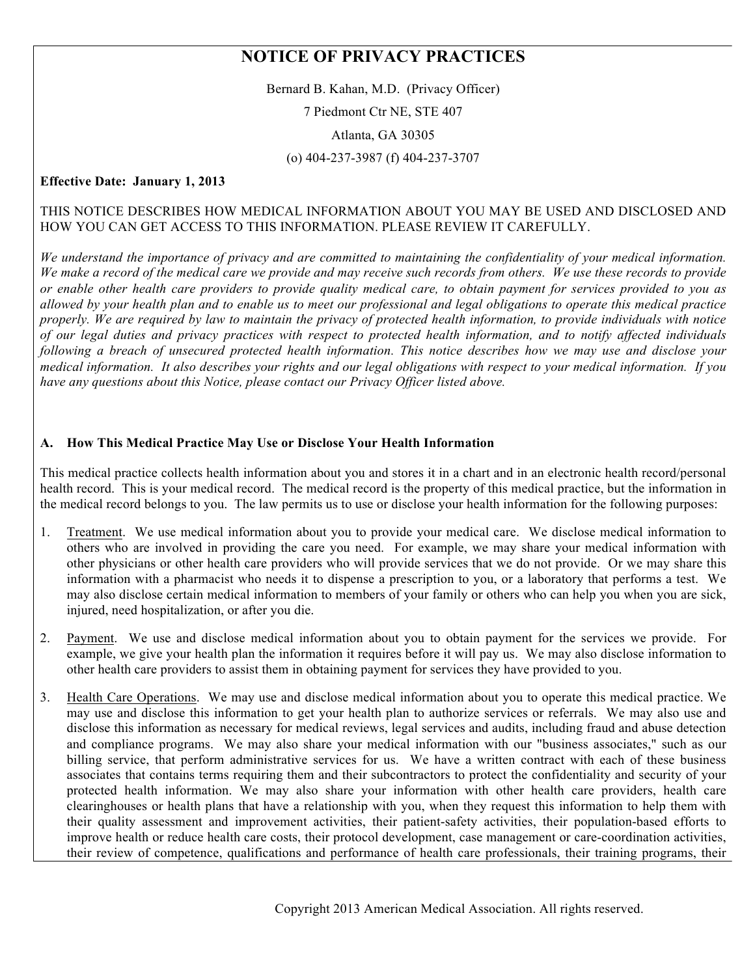# **NOTICE OF PRIVACY PRACTICES**

Bernard B. Kahan, M.D. (Privacy Officer)

7 Piedmont Ctr NE, STE 407

Atlanta, GA 30305

(o) 404-237-3987 (f) 404-237-3707

#### **Effective Date: January 1, 2013**

#### THIS NOTICE DESCRIBES HOW MEDICAL INFORMATION ABOUT YOU MAY BE USED AND DISCLOSED AND HOW YOU CAN GET ACCESS TO THIS INFORMATION. PLEASE REVIEW IT CAREFULLY.

*We understand the importance of privacy and are committed to maintaining the confidentiality of your medical information. We make a record of the medical care we provide and may receive such records from others. We use these records to provide or enable other health care providers to provide quality medical care, to obtain payment for services provided to you as allowed by your health plan and to enable us to meet our professional and legal obligations to operate this medical practice properly. We are required by law to maintain the privacy of protected health information, to provide individuals with notice of our legal duties and privacy practices with respect to protected health information, and to notify affected individuals following a breach of unsecured protected health information. This notice describes how we may use and disclose your medical information. It also describes your rights and our legal obligations with respect to your medical information. If you have any questions about this Notice, please contact our Privacy Officer listed above.*

#### **A. How This Medical Practice May Use or Disclose Your Health Information**

This medical practice collects health information about you and stores it in a chart and in an electronic health record/personal health record. This is your medical record. The medical record is the property of this medical practice, but the information in the medical record belongs to you. The law permits us to use or disclose your health information for the following purposes:

- 1. Treatment. We use medical information about you to provide your medical care. We disclose medical information to others who are involved in providing the care you need. For example, we may share your medical information with other physicians or other health care providers who will provide services that we do not provide. Or we may share this information with a pharmacist who needs it to dispense a prescription to you, or a laboratory that performs a test. We may also disclose certain medical information to members of your family or others who can help you when you are sick, injured, need hospitalization, or after you die.
- 2. Payment. We use and disclose medical information about you to obtain payment for the services we provide. For example, we give your health plan the information it requires before it will pay us. We may also disclose information to other health care providers to assist them in obtaining payment for services they have provided to you.
- 3. Health Care Operations. We may use and disclose medical information about you to operate this medical practice. We may use and disclose this information to get your health plan to authorize services or referrals. We may also use and disclose this information as necessary for medical reviews, legal services and audits, including fraud and abuse detection and compliance programs. We may also share your medical information with our "business associates," such as our billing service, that perform administrative services for us. We have a written contract with each of these business associates that contains terms requiring them and their subcontractors to protect the confidentiality and security of your protected health information. We may also share your information with other health care providers, health care clearinghouses or health plans that have a relationship with you, when they request this information to help them with their quality assessment and improvement activities, their patient-safety activities, their population-based efforts to improve health or reduce health care costs, their protocol development, case management or care-coordination activities, their review of competence, qualifications and performance of health care professionals, their training programs, their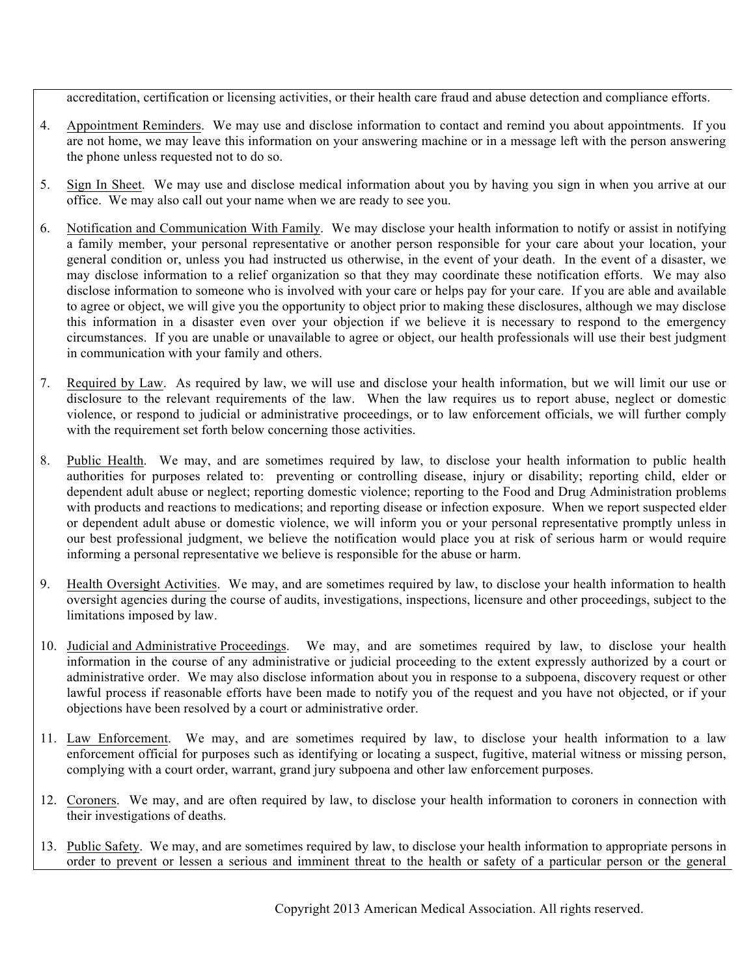accreditation, certification or licensing activities, or their health care fraud and abuse detection and compliance efforts.

- 4. Appointment Reminders. We may use and disclose information to contact and remind you about appointments. If you are not home, we may leave this information on your answering machine or in a message left with the person answering the phone unless requested not to do so.
- 5. Sign In Sheet. We may use and disclose medical information about you by having you sign in when you arrive at our office. We may also call out your name when we are ready to see you.
- 6. Notification and Communication With Family. We may disclose your health information to notify or assist in notifying a family member, your personal representative or another person responsible for your care about your location, your general condition or, unless you had instructed us otherwise, in the event of your death. In the event of a disaster, we may disclose information to a relief organization so that they may coordinate these notification efforts. We may also disclose information to someone who is involved with your care or helps pay for your care. If you are able and available to agree or object, we will give you the opportunity to object prior to making these disclosures, although we may disclose this information in a disaster even over your objection if we believe it is necessary to respond to the emergency circumstances. If you are unable or unavailable to agree or object, our health professionals will use their best judgment in communication with your family and others.
- 7. Required by Law. As required by law, we will use and disclose your health information, but we will limit our use or disclosure to the relevant requirements of the law. When the law requires us to report abuse, neglect or domestic violence, or respond to judicial or administrative proceedings, or to law enforcement officials, we will further comply with the requirement set forth below concerning those activities.
- 8. Public Health. We may, and are sometimes required by law, to disclose your health information to public health authorities for purposes related to: preventing or controlling disease, injury or disability; reporting child, elder or dependent adult abuse or neglect; reporting domestic violence; reporting to the Food and Drug Administration problems with products and reactions to medications; and reporting disease or infection exposure. When we report suspected elder or dependent adult abuse or domestic violence, we will inform you or your personal representative promptly unless in our best professional judgment, we believe the notification would place you at risk of serious harm or would require informing a personal representative we believe is responsible for the abuse or harm.
- 9. Health Oversight Activities. We may, and are sometimes required by law, to disclose your health information to health oversight agencies during the course of audits, investigations, inspections, licensure and other proceedings, subject to the limitations imposed by law.
- 10. Judicial and Administrative Proceedings. We may, and are sometimes required by law, to disclose your health information in the course of any administrative or judicial proceeding to the extent expressly authorized by a court or administrative order. We may also disclose information about you in response to a subpoena, discovery request or other lawful process if reasonable efforts have been made to notify you of the request and you have not objected, or if your objections have been resolved by a court or administrative order.
- 11. Law Enforcement. We may, and are sometimes required by law, to disclose your health information to a law enforcement official for purposes such as identifying or locating a suspect, fugitive, material witness or missing person, complying with a court order, warrant, grand jury subpoena and other law enforcement purposes.
- 12. Coroners. We may, and are often required by law, to disclose your health information to coroners in connection with their investigations of deaths.
- 13. Public Safety. We may, and are sometimes required by law, to disclose your health information to appropriate persons in order to prevent or lessen a serious and imminent threat to the health or safety of a particular person or the general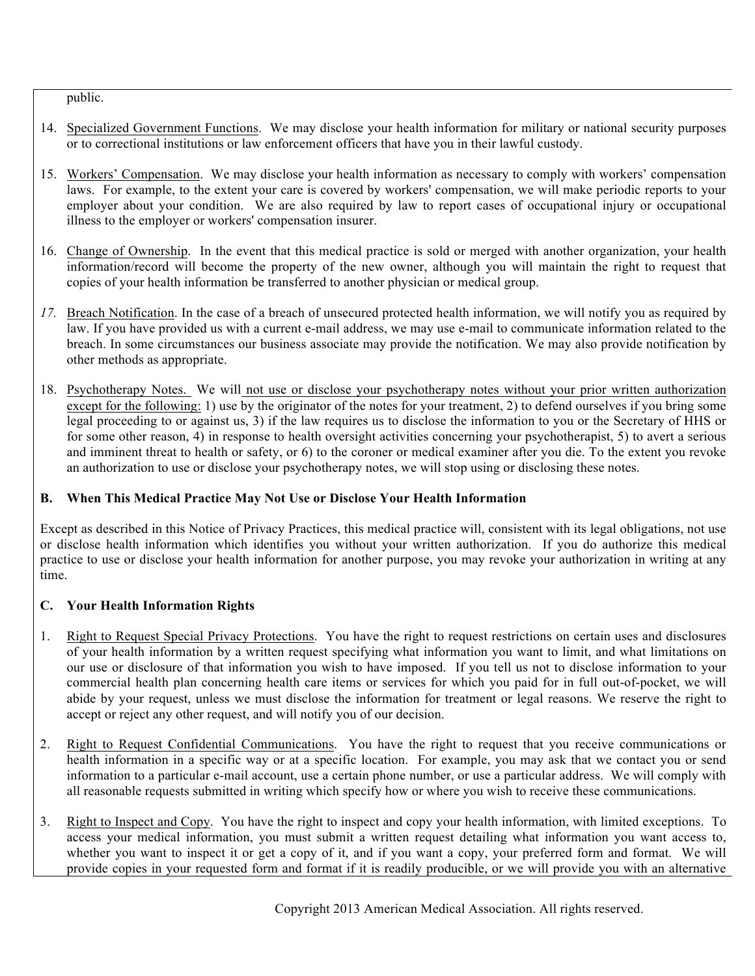public.

- 14. Specialized Government Functions. We may disclose your health information for military or national security purposes or to correctional institutions or law enforcement officers that have you in their lawful custody.
- 15. Workers' Compensation. We may disclose your health information as necessary to comply with workers' compensation laws. For example, to the extent your care is covered by workers' compensation, we will make periodic reports to your employer about your condition. We are also required by law to report cases of occupational injury or occupational illness to the employer or workers' compensation insurer.
- 16. Change of Ownership. In the event that this medical practice is sold or merged with another organization, your health information/record will become the property of the new owner, although you will maintain the right to request that copies of your health information be transferred to another physician or medical group.
- *17.* Breach Notification. In the case of a breach of unsecured protected health information, we will notify you as required by law. If you have provided us with a current e-mail address, we may use e-mail to communicate information related to the breach. In some circumstances our business associate may provide the notification. We may also provide notification by other methods as appropriate.
- 18. Psychotherapy Notes. We will not use or disclose your psychotherapy notes without your prior written authorization except for the following: 1) use by the originator of the notes for your treatment, 2) to defend ourselves if you bring some legal proceeding to or against us, 3) if the law requires us to disclose the information to you or the Secretary of HHS or for some other reason, 4) in response to health oversight activities concerning your psychotherapist, 5) to avert a serious and imminent threat to health or safety, or 6) to the coroner or medical examiner after you die. To the extent you revoke an authorization to use or disclose your psychotherapy notes, we will stop using or disclosing these notes.

## **B. When This Medical Practice May Not Use or Disclose Your Health Information**

Except as described in this Notice of Privacy Practices, this medical practice will, consistent with its legal obligations, not use or disclose health information which identifies you without your written authorization. If you do authorize this medical practice to use or disclose your health information for another purpose, you may revoke your authorization in writing at any time.

## **C. Your Health Information Rights**

- 1. Right to Request Special Privacy Protections. You have the right to request restrictions on certain uses and disclosures of your health information by a written request specifying what information you want to limit, and what limitations on our use or disclosure of that information you wish to have imposed. If you tell us not to disclose information to your commercial health plan concerning health care items or services for which you paid for in full out-of-pocket, we will abide by your request, unless we must disclose the information for treatment or legal reasons. We reserve the right to accept or reject any other request, and will notify you of our decision.
- 2. Right to Request Confidential Communications. You have the right to request that you receive communications or health information in a specific way or at a specific location. For example, you may ask that we contact you or send information to a particular e-mail account, use a certain phone number, or use a particular address. We will comply with all reasonable requests submitted in writing which specify how or where you wish to receive these communications.
- 3. Right to Inspect and Copy. You have the right to inspect and copy your health information, with limited exceptions. To access your medical information, you must submit a written request detailing what information you want access to, whether you want to inspect it or get a copy of it, and if you want a copy, your preferred form and format. We will provide copies in your requested form and format if it is readily producible, or we will provide you with an alternative